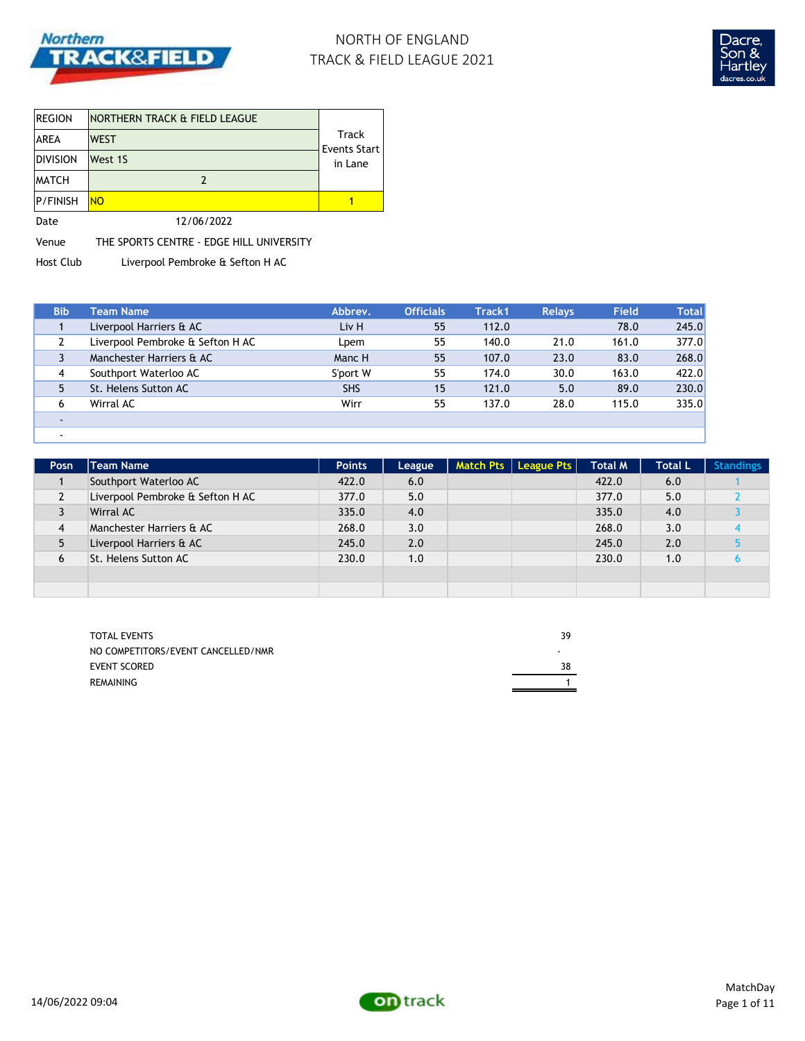

# NORTH OF ENGLAND TRACK & FIELD LEAGUE 2021



| <b>REGION</b>   | INORTHERN TRACK & FIELD LEAGUE |                              |
|-----------------|--------------------------------|------------------------------|
| <b>AREA</b>     | <b>WEST</b>                    | Track<br><b>Events Start</b> |
| <b>DIVISION</b> | West 1S                        | in Lane                      |
| <b>MATCH</b>    |                                |                              |
| <b>P/FINISH</b> | <b>NO</b>                      |                              |
| Date            | 12/06/2022                     |                              |

Venue THE SPORTS CENTRE - EDGE HILL UNIVERSITY

Host Club Liverpool Pembroke & Sefton H AC

| <b>Bib</b> | Team Name                        | Abbrev.    | <b>Officials</b> | Track1 | <b>Relays</b> | <b>Field</b> | <b>Total</b> |
|------------|----------------------------------|------------|------------------|--------|---------------|--------------|--------------|
|            | Liverpool Harriers & AC          | Liv H      | 55               | 112.0  |               | 78.0         | 245.0        |
|            | Liverpool Pembroke & Sefton H AC | Lpem       | 55               | 140.0  | 21.0          | 161.0        | 377.0        |
|            | Manchester Harriers & AC         | Manc H     | 55               | 107.0  | 23.0          | 83.0         | 268.0        |
| 4          | Southport Waterloo AC            | S'port W   | 55               | 174.0  | 30.0          | 163.0        | 422.0        |
| 5          | St. Helens Sutton AC             | <b>SHS</b> | 15               | 121.0  | 5.0           | 89.0         | 230.0        |
| 6          | Wirral AC                        | Wirr       | 55               | 137.0  | 28.0          | 115.0        | 335.0        |
|            |                                  |            |                  |        |               |              |              |
|            |                                  |            |                  |        |               |              |              |

| Posn           | Team Name                        | <b>Points</b> | League | Match Pts   League Pts | <b>Total M</b> | <b>Total L</b> | <b>Standings</b> |
|----------------|----------------------------------|---------------|--------|------------------------|----------------|----------------|------------------|
|                | Southport Waterloo AC            | 422.0         | 6.0    |                        | 422.0          | 6.0            |                  |
| $\overline{2}$ | Liverpool Pembroke & Sefton H AC | 377.0         | 5.0    |                        | 377.0          | 5.0            |                  |
| 3              | Wirral AC                        | 335.0         | 4.0    |                        | 335.0          | 4.0            |                  |
| 4              | Manchester Harriers & AC         | 268.0         | 3.0    |                        | 268.0          | 3.0            |                  |
| 5              | Liverpool Harriers & AC          | 245.0         | 2.0    |                        | 245.0          | 2.0            |                  |
| 6              | St. Helens Sutton AC             | 230.0         | 1.0    |                        | 230.0          | 1.0            |                  |
|                |                                  |               |        |                        |                |                |                  |
|                |                                  |               |        |                        |                |                |                  |

| <b>TOTAL EVENTS</b>                | 39 |
|------------------------------------|----|
| NO COMPETITORS/EVENT CANCELLED/NMR | ۰  |
| <b>EVENT SCORED</b>                | 38 |
| REMAINING                          |    |
|                                    |    |

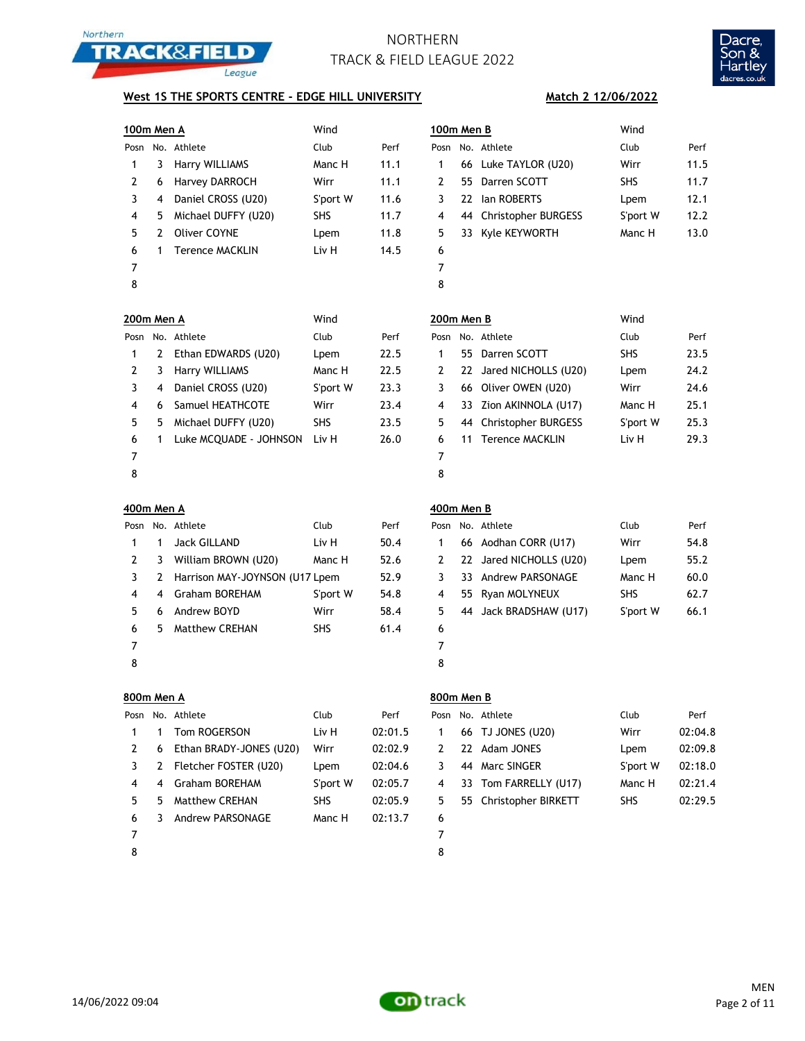



### **West 1S THE SPORTS CENTRE - EDGE HILL UNIVERSITY**

| 100m Men A |   |                                | Wind       |         | 100m Men B     |    |                         | Wind       |         |
|------------|---|--------------------------------|------------|---------|----------------|----|-------------------------|------------|---------|
|            |   | Posn No. Athlete               | Club       | Perf    | Posn           |    | No. Athlete             | Club       | Perf    |
| 1          | 3 | Harry WILLIAMS                 | Manc H     | 11.1    | 1              |    | 66 Luke TAYLOR (U20)    | Wirr       | 11.5    |
| 2          | 6 | Harvey DARROCH                 | Wirr       | 11.1    | $\overline{2}$ | 55 | Darren SCOTT            | SHS        | 11.7    |
| 3          | 4 | Daniel CROSS (U20)             | S'port W   | 11.6    | 3              |    | 22 Ian ROBERTS          | Lpem       | 12.1    |
| 4          | 5 | Michael DUFFY (U20)            | SHS        | 11.7    | 4              |    | 44 Christopher BURGESS  | S'port W   | 12.2    |
| 5          | 2 | <b>Oliver COYNE</b>            | Lpem       | 11.8    | 5              |    | 33 Kyle KEYWORTH        | Manc H     | 13.0    |
| 6          | 1 | <b>Terence MACKLIN</b>         | Liv H      | 14.5    | 6              |    |                         |            |         |
| 7          |   |                                |            |         | 7              |    |                         |            |         |
| 8          |   |                                |            |         | 8              |    |                         |            |         |
| 200m Men A |   |                                | Wind       |         | 200m Men B     |    |                         | Wind       |         |
|            |   | Posn No. Athlete               | Club       | Perf    | Posn           |    | No. Athlete             | Club       | Perf    |
| 1          | 2 | Ethan EDWARDS (U20)            | Lpem       | 22.5    | 1              |    | 55 Darren SCOTT         | <b>SHS</b> | 23.5    |
| 2          | 3 | Harry WILLIAMS                 | Manc H     | 22.5    | 2              |    | 22 Jared NICHOLLS (U20) | Lpem       | 24.2    |
| 3          | 4 | Daniel CROSS (U20)             | S'port W   | 23.3    | 3              |    | 66 Oliver OWEN (U20)    | Wirr       | 24.6    |
| 4          | 6 | Samuel HEATHCOTE               | Wirr       | 23.4    | 4              |    | 33 Zion AKINNOLA (U17)  | Manc H     | 25.1    |
| 5          | 5 | Michael DUFFY (U20)            | SHS        | 23.5    | 5              |    | 44 Christopher BURGESS  | S'port W   | 25.3    |
| 6          | 1 | Luke MCQUADE - JOHNSON         | Liv H      | 26.0    | 6              | 11 | <b>Terence MACKLIN</b>  | Liv H      | 29.3    |
| 7          |   |                                |            |         | 7              |    |                         |            |         |
| 8          |   |                                |            |         | 8              |    |                         |            |         |
|            |   |                                |            |         |                |    |                         |            |         |
| 400m Men A |   |                                |            |         | 400m Men B     |    |                         |            |         |
| Posn       |   | No. Athlete                    | Club       | Perf    | Posn           |    | No. Athlete             | Club       | Perf    |
| 1          | 1 | <b>Jack GILLAND</b>            | Liv H      | 50.4    | 1              |    | 66 Aodhan CORR (U17)    | Wirr       | 54.8    |
| 2          | 3 | William BROWN (U20)            | Manc H     | 52.6    | 2              |    | 22 Jared NICHOLLS (U20) | Lpem       | 55.2    |
| 3          | 2 | Harrison MAY-JOYNSON (U17 Lpem |            | 52.9    | 3              |    | 33 Andrew PARSONAGE     | Manc H     | 60.0    |
| 4          | 4 | <b>Graham BOREHAM</b>          | S'port W   | 54.8    | 4              |    | 55 Ryan MOLYNEUX        | SHS        | 62.7    |
| 5          | 6 | Andrew BOYD                    | Wirr       | 58.4    | 5              |    | 44 Jack BRADSHAW (U17)  | S'port W   | 66.1    |
| 6          | 5 | <b>Matthew CREHAN</b>          | SHS        | 61.4    | 6              |    |                         |            |         |
| 7          |   |                                |            |         | 7              |    |                         |            |         |
| 8          |   |                                |            |         | 8              |    |                         |            |         |
| 800m Men A |   |                                |            |         | 800m Men B     |    |                         |            |         |
| Posn       |   | No. Athlete                    | Club       | Perf    | Posn           |    | No. Athlete             | Club       | Perf    |
| 1          | 1 | Tom ROGERSON                   | Liv H      | 02:01.5 | 1              |    | 66 TJ JONES (U20)       | Wirr       | 02:04.8 |
| 2          | 6 | Ethan BRADY-JONES (U20)        | Wirr       | 02:02.9 | 2              |    | 22 Adam JONES           | Lpem       | 02:09.8 |
| 3          | 2 | Fletcher FOSTER (U20)          | Lpem       | 02:04.6 | 3              |    | 44 Marc SINGER          | S'port W   | 02:18.0 |
| 4          | 4 | <b>Graham BOREHAM</b>          | S'port W   | 02:05.7 | 4              |    | 33 Tom FARRELLY (U17)   | Manc H     | 02:21.4 |
| 5          | 5 | Matthew CREHAN                 | <b>SHS</b> | 02:05.9 | 5              |    | 55 Christopher BIRKETT  | SHS        | 02:29.5 |
| 6          | 3 | Andrew PARSONAGE               | Manc H     | 02:13.7 | 6              |    |                         |            |         |

### **Match 2 12/06/2022**

|    | )0m Men B |                        | Wind       |      |  |
|----|-----------|------------------------|------------|------|--|
|    |           | osn No. Athlete        | Club       | Perf |  |
| 1  |           | 66 Luke TAYLOR (U20)   | Wirr       | 11.5 |  |
| 2  |           | 55 Darren SCOTT        | <b>SHS</b> | 11.7 |  |
| 3  |           | 22 Ian ROBERTS         | Lpem       | 12.1 |  |
| 4  |           | 44 Christopher BURGESS | S'port W   | 12.2 |  |
| 5. |           | 33 Kyle KEYWORTH       | Manc H     | 13.0 |  |
| 6  |           |                        |            |      |  |
| 7  |           |                        |            |      |  |
| n  |           |                        |            |      |  |

| 200m Men B |  |                         | Wind       |      |
|------------|--|-------------------------|------------|------|
| Posn       |  | No. Athlete             | Club       | Perf |
| 1          |  | 55 Darren SCOTT         | <b>SHS</b> | 23.5 |
| 2          |  | 22 Jared NICHOLLS (U20) | Lpem       | 24.2 |
| 3          |  | 66 Oliver OWEN (U20)    | Wirr       | 24.6 |
| 4          |  | 33 Zion AKINNOLA (U17)  | Manc H     | 25.1 |
| 5          |  | 44 Christopher BURGESS  | S'port W   | 25.3 |
| 6          |  | 11 Terence MACKLIN      | Liv H      | 29.3 |
| 7          |  |                         |            |      |
|            |  |                         |            |      |

| Posn |     | No. Athlete             | Club       | Perf |
|------|-----|-------------------------|------------|------|
| 1    |     | 66 Aodhan CORR (U17)    | Wirr       | 54.8 |
| 2    |     | 22 Jared NICHOLLS (U20) | Lpem       | 55.2 |
| 3    |     | 33 Andrew PARSONAGE     | Manc H     | 60.0 |
| 4    | 55. | Ryan MOLYNEUX           | <b>SHS</b> | 62.7 |
| 5    |     | 44 Jack BRADSHAW (U17)  | S'port W   | 66.1 |
| 6    |     |                         |            |      |
|      |     |                         |            |      |
|      |     |                         |            |      |

| Posn | No. Athlete            | Club       | Perf    |
|------|------------------------|------------|---------|
|      | 66 TJ JONES (U20)      | Wirr       | 02:04.8 |
|      | 22 Adam JONES          | Lpem       | 02:09.8 |
| 3    | 44 Marc SINGER         | S'port W   | 02:18.0 |
|      | 33 Tom FARRELLY (U17)  | Manc H     | 02:21.4 |
| 5    | 55 Christopher BIRKETT | <b>SHS</b> | 02:29.5 |
|      |                        |            |         |



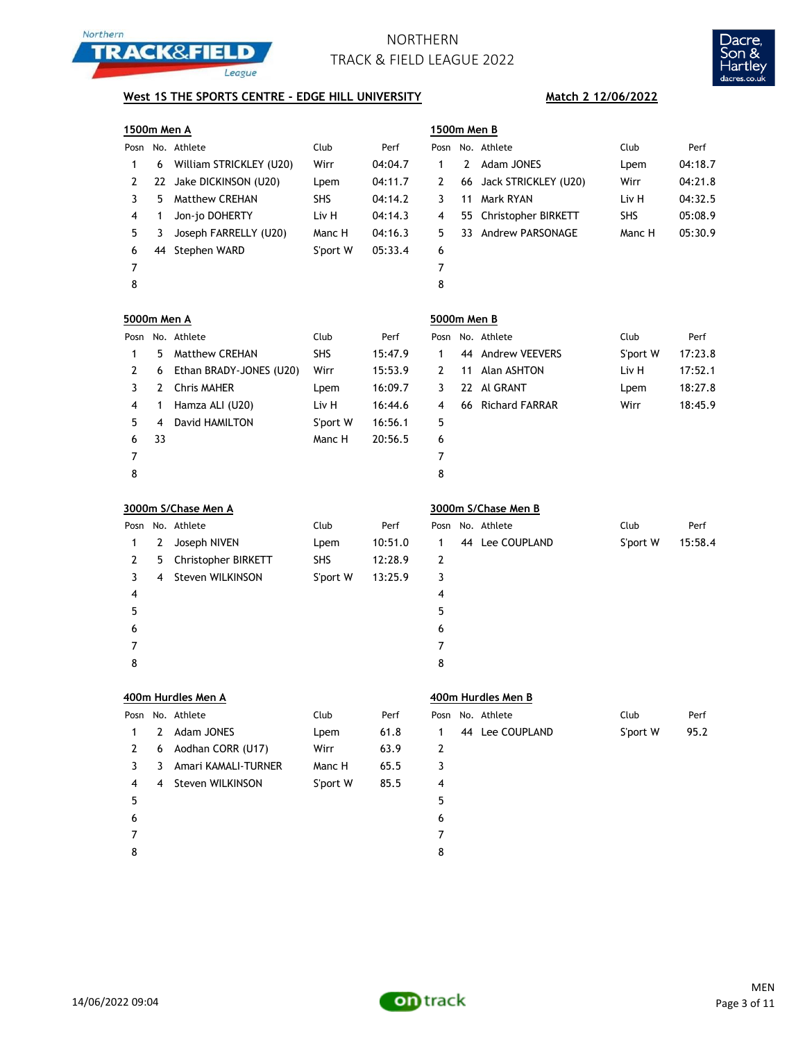



## **West 1S THE SPORTS CENTRE - EDGE HILL UNIVERSITY** Match 2 12/06/2022

|                | 1500m Men A |                         |            |         | 1500m Men B    |              |                       |          |         |
|----------------|-------------|-------------------------|------------|---------|----------------|--------------|-----------------------|----------|---------|
|                |             | Posn No. Athlete        | Club       | Perf    | Posn           |              | No. Athlete           | Club     | Perf    |
| 1              | 6           | William STRICKLEY (U20) | Wirr       | 04:04.7 | 1              | $\mathbf{2}$ | Adam JONES            | Lpem     | 04:18.7 |
| 2              | 22          | Jake DICKINSON (U20)    | Lpem       | 04:11.7 | 2              | 66           | Jack STRICKLEY (U20)  | Wirr     | 04:21.8 |
| 3              | 5.          | <b>Matthew CREHAN</b>   | <b>SHS</b> | 04:14.2 | 3              | 11           | Mark RYAN             | Liv H    | 04:32.5 |
| 4              | 1           | Jon-jo DOHERTY          | Liv H      | 04:14.3 | 4              | 55           | Christopher BIRKETT   | SHS      | 05:08.9 |
| 5              | 3           | Joseph FARRELLY (U20)   | Manc H     | 04:16.3 | 5              | 33           | Andrew PARSONAGE      | Manc H   | 05:30.9 |
| 6              | 44          | Stephen WARD            | S'port W   | 05:33.4 | 6              |              |                       |          |         |
| $\overline{7}$ |             |                         |            |         | 7              |              |                       |          |         |
| 8              |             |                         |            |         | 8              |              |                       |          |         |
| 5000m Men A    |             |                         |            |         | 5000m Men B    |              |                       |          |         |
|                |             | Posn No. Athlete        | Club       | Perf    | Posn           |              | No. Athlete           | Club     | Perf    |
| 1              | 5           | Matthew CREHAN          | SHS        | 15:47.9 | 1              | 44           | <b>Andrew VEEVERS</b> | S'port W | 17:23.8 |
| 2              | 6           | Ethan BRADY-JONES (U20) | Wirr       | 15:53.9 | 2              | 11           | Alan ASHTON           | Liv H    | 17:52.1 |
| 3              | 2           | <b>Chris MAHER</b>      | Lpem       | 16:09.7 | 3              | 22.          | Al GRANT              | Lpem     | 18:27.8 |
| 4              | 1           | Hamza ALI (U20)         | Liv H      | 16:44.6 | 4              | 66           | <b>Richard FARRAR</b> | Wirr     | 18:45.9 |
| 5              | 4           | David HAMILTON          | S'port W   | 16:56.1 | 5              |              |                       |          |         |
| 6              | 33          |                         | Manc H     | 20:56.5 | 6              |              |                       |          |         |
| $\overline{7}$ |             |                         |            |         | 7              |              |                       |          |         |
| 8              |             |                         |            |         | 8              |              |                       |          |         |
|                |             | 3000m S/Chase Men A     |            |         |                |              | 3000m S/Chase Men B   |          |         |
| Posn           |             | No. Athlete             | Club       | Perf    | Posn           |              | No. Athlete           | Club     | Perf    |
| 1              | 2           | Joseph NIVEN            | Lpem       | 10:51.0 | 1              |              | 44 Lee COUPLAND       | S'port W | 15:58.4 |
| $\overline{2}$ | 5           | Christopher BIRKETT     | SHS        | 12:28.9 | $\overline{2}$ |              |                       |          |         |
| 3              | 4           | Steven WILKINSON        | S'port W   | 13:25.9 | 3              |              |                       |          |         |
| 4              |             |                         |            |         | 4              |              |                       |          |         |
| 5              |             |                         |            |         | 5              |              |                       |          |         |
| 6              |             |                         |            |         | 6              |              |                       |          |         |
| 7              |             |                         |            |         | 7              |              |                       |          |         |
| 8              |             |                         |            |         | 8              |              |                       |          |         |
|                |             | 400m Hurdles Men A      |            |         |                |              | 400m Hurdles Men B    |          |         |
| Posn           |             | No. Athlete             | Club       | Perf    | Posn           |              | No. Athlete           | Club     | Perf    |
| $\mathbf{1}$   | 2           | Adam JONES              | Lpem       | 61.8    | 1              |              | 44 Lee COUPLAND       | S'port W | 95.2    |
| $\overline{2}$ | 6           | Aodhan CORR (U17)       | Wirr       | 63.9    | 2              |              |                       |          |         |
| 3              | 3           | Amari KAMALI-TURNER     | Manc H     | 65.5    | 3              |              |                       |          |         |
| 4              | 4           | Steven WILKINSON        | S'port W   | 85.5    | 4              |              |                       |          |         |
| 5              |             |                         |            |         | 5              |              |                       |          |         |
| 6              |             |                         |            |         | 6              |              |                       |          |         |
| 7              |             |                         |            |         | 7              |              |                       |          |         |
|                |             |                         |            |         |                |              |                       |          |         |

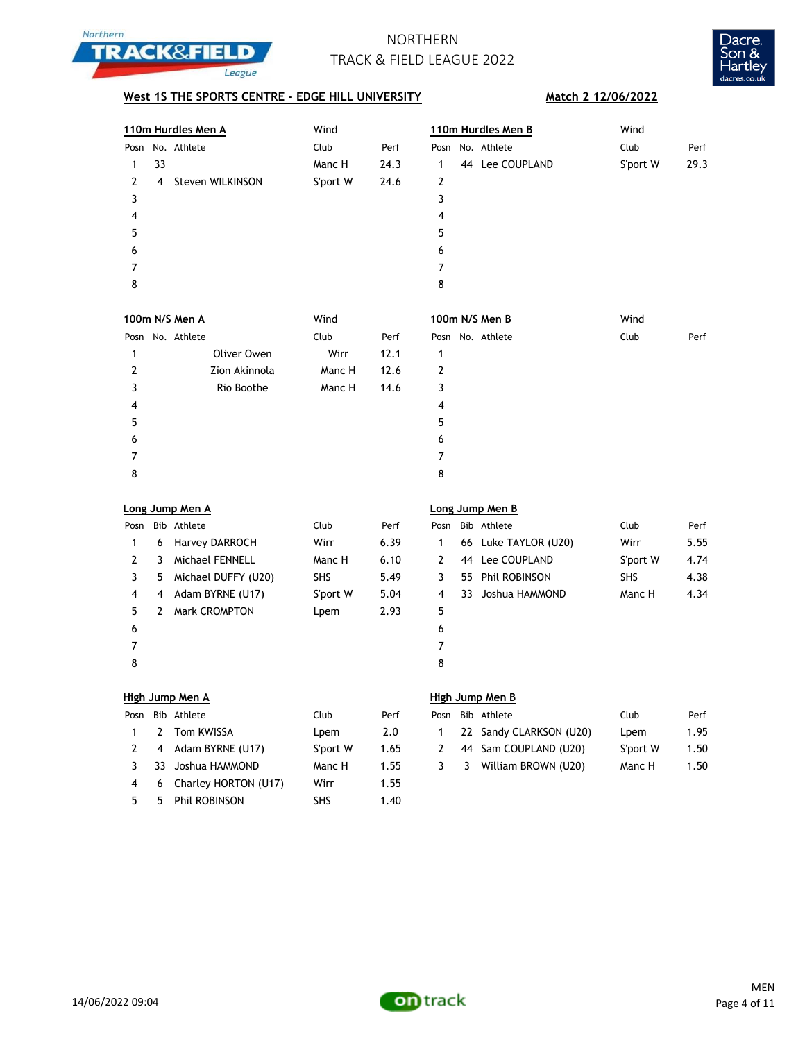



## **West 1S THE SPORTS CENTRE - EDGE HILL UNIVERSITY** Match 2 12/06/2022

|                |                | 110m Hurdles Men A   | Wind       |      |                |     | 110m Hurdles Men B   | Wind       |      |
|----------------|----------------|----------------------|------------|------|----------------|-----|----------------------|------------|------|
|                |                | Posn No. Athlete     | Club       | Perf |                |     | Posn No. Athlete     | Club       | Perf |
| 1              | 33             |                      | Manc H     | 24.3 | 1              |     | 44 Lee COUPLAND      | S'port W   | 29.3 |
| 2              | 4              | Steven WILKINSON     | S'port W   | 24.6 | $\overline{2}$ |     |                      |            |      |
| 3              |                |                      |            |      | 3              |     |                      |            |      |
| 4              |                |                      |            |      | 4              |     |                      |            |      |
| 5              |                |                      |            |      | 5              |     |                      |            |      |
| 6              |                |                      |            |      | 6              |     |                      |            |      |
| 7              |                |                      |            |      | 7              |     |                      |            |      |
| 8              |                |                      |            |      | 8              |     |                      |            |      |
|                |                | 100m N/S Men A       | Wind       |      |                |     | 100m N/S Men B       | Wind       |      |
| Posn           |                | No. Athlete          | Club       | Perf |                |     | Posn No. Athlete     | Club       | Perf |
| 1              |                | Oliver Owen          | Wirr       | 12.1 | 1              |     |                      |            |      |
| 2              |                | Zion Akinnola        | Manc H     | 12.6 | 2              |     |                      |            |      |
| 3              |                | Rio Boothe           | Manc H     | 14.6 | 3              |     |                      |            |      |
| 4              |                |                      |            |      | 4              |     |                      |            |      |
| 5              |                |                      |            |      | 5              |     |                      |            |      |
| 6              |                |                      |            |      | 6              |     |                      |            |      |
| 7              |                |                      |            |      | 7              |     |                      |            |      |
| 8              |                |                      |            |      | 8              |     |                      |            |      |
|                |                | Long Jump Men A      |            |      |                |     | Long Jump Men B      |            |      |
| Posn           |                | Bib Athlete          | Club       | Perf | Posn           |     | Bib Athlete          | Club       | Perf |
| 1              | 6              | Harvey DARROCH       | Wirr       | 6.39 | 1              |     | 66 Luke TAYLOR (U20) | Wirr       | 5.55 |
| 2              | 3              | Michael FENNELL      | Manc H     | 6.10 | 2              |     | 44 Lee COUPLAND      | S'port W   | 4.74 |
| 3              | 5              | Michael DUFFY (U20)  | <b>SHS</b> | 5.49 | 3              |     | 55 Phil ROBINSON     | <b>SHS</b> | 4.38 |
| 4              | 4              | Adam BYRNE (U17)     | S'port W   | 5.04 | 4              | 33. | Joshua HAMMOND       | Manc H     | 4.34 |
| 5              | 2              | Mark CROMPTON        | Lpem       | 2.93 | 5              |     |                      |            |      |
| 6              |                |                      |            |      | 6              |     |                      |            |      |
| $\overline{7}$ |                |                      |            |      | 7              |     |                      |            |      |
| 8              |                |                      |            |      | 8              |     |                      |            |      |
|                |                | High Jump Men A      |            |      |                |     | High Jump Men B      |            |      |
| Posn           |                | Bib Athlete          | Club       | Perf | Posn           |     | Bib Athlete          | Club       | Perf |
| 1              | $\overline{2}$ | Tom KWISSA           | Lpem       | 2.0  | 1              | 22  | Sandy CLARKSON (U20) | Lpem       | 1.95 |
| 2              | 4              | Adam BYRNE (U17)     | S'port W   | 1.65 | $\overline{2}$ | 44  | Sam COUPLAND (U20)   | S'port W   | 1.50 |
| 3              | 33             | Joshua HAMMOND       | Manc H     | 1.55 | 3              | 3   | William BROWN (U20)  | Manc H     | 1.50 |
| 4              | 6              | Charley HORTON (U17) | Wirr       | 1.55 |                |     |                      |            |      |
| 5              | 5              | Phil ROBINSON        | SHS        | 1.40 |                |     |                      |            |      |

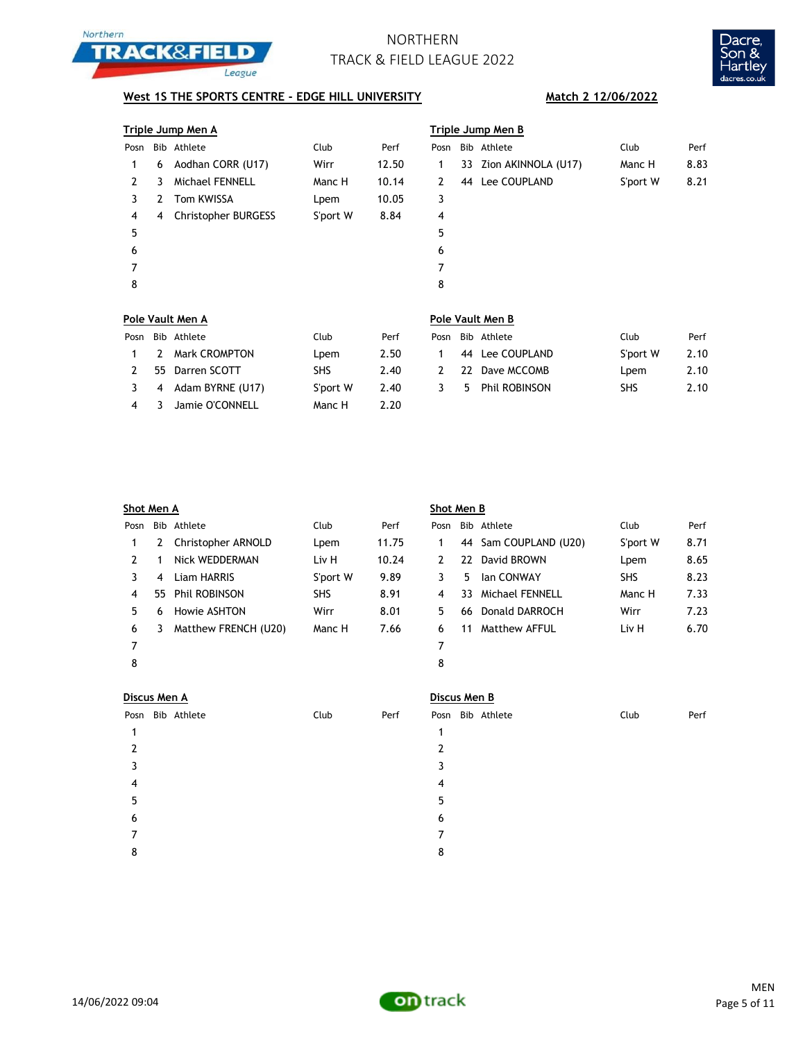



## **West 1S THE SPORTS CENTRE - EDGE HILL UNIVERSITY** Match 2 12/06/2022

| Triple Jump Men A |                            |             |       | <b>Triple Jump Men B</b> |  |  |                                                          |      |
|-------------------|----------------------------|-------------|-------|--------------------------|--|--|----------------------------------------------------------|------|
|                   |                            | Club        | Perf  | Posn                     |  |  | Club                                                     | Perf |
| 6                 | Aodhan CORR (U17)          | Wirr        | 12.50 | 1                        |  |  | Manc H                                                   | 8.83 |
| 3                 | Michael FENNELL            | Manc H      | 10.14 | 2                        |  |  | S'port W                                                 | 8.21 |
| 2                 | Tom KWISSA                 | Lpem        | 10.05 | 3                        |  |  |                                                          |      |
| 4                 | <b>Christopher BURGESS</b> | S'port W    | 8.84  | 4                        |  |  |                                                          |      |
|                   |                            |             |       | 5                        |  |  |                                                          |      |
|                   |                            |             |       | 6                        |  |  |                                                          |      |
|                   |                            |             |       | 7                        |  |  |                                                          |      |
|                   |                            |             |       | 8                        |  |  |                                                          |      |
|                   |                            |             |       |                          |  |  |                                                          |      |
|                   |                            | Bib Athlete |       |                          |  |  | Bib Athlete<br>33 Zion AKINNOLA (U17)<br>44 Lee COUPLAND |      |

|      |    | Pole Vault Men A   |            |      | Pole Vault Men B |  |                 |            |      |  |
|------|----|--------------------|------------|------|------------------|--|-----------------|------------|------|--|
| Posn |    | Bib Athlete        | Club       | Perf | Posn             |  | Bib Athlete     | Club       | Perf |  |
|      | -2 | Mark CROMPTON      | Lpem       | 2.50 |                  |  | 44 Lee COUPLAND | S'port W   | 2.10 |  |
|      |    | 55 Darren SCOTT    | <b>SHS</b> | 2.40 | 2                |  | 22 Dave MCCOMB  | Lpem       | 2.10 |  |
|      |    | 4 Adam BYRNE (U17) | S'port W   | 2.40 | 3                |  | 5 Phil ROBINSON | <b>SHS</b> | 2.10 |  |
| 4    |    | Jamie O'CONNELL    | Manc H     | 2.20 |                  |  |                 |            |      |  |

| Shot Men A |    |                      |            |       | Shot Men B |    |                       |            |      |  |
|------------|----|----------------------|------------|-------|------------|----|-----------------------|------------|------|--|
| Posn       |    | Bib Athlete          | Club       | Perf  | Posn       |    | Bib Athlete           | Club       | Perf |  |
|            | 2  | Christopher ARNOLD   | Lpem       | 11.75 |            |    | 44 Sam COUPLAND (U20) | S'port W   | 8.71 |  |
| 2          |    | Nick WEDDERMAN       | Liv H      | 10.24 | 2          |    | 22 David BROWN        | Lpem       | 8.65 |  |
| 3          | 4  | Liam HARRIS          | S'port W   | 9.89  | 3          | 5  | <b>Ian CONWAY</b>     | <b>SHS</b> | 8.23 |  |
| 4          | 55 | <b>Phil ROBINSON</b> | <b>SHS</b> | 8.91  | 4          | 33 | Michael FENNELL       | Manc H     | 7.33 |  |
| 5.         | 6  | Howie ASHTON         | Wirr       | 8.01  | 5.         | 66 | Donald DARROCH        | Wirr       | 7.23 |  |
| 6          | 3  | Matthew FRENCH (U20) | Manc H     | 7.66  | 6          | 11 | Matthew AFFUL         | Liv H      | 6.70 |  |
| 7          |    |                      |            |       | 7          |    |                       |            |      |  |
| 8          |    |                      |            |       | 8          |    |                       |            |      |  |
|            |    |                      |            |       |            |    |                       |            |      |  |

| Discus Men A     |      |      | Discus Men B     |      |      |  |  |  |
|------------------|------|------|------------------|------|------|--|--|--|
| Posn Bib Athlete | Club | Perf | Posn Bib Athlete | Club | Perf |  |  |  |
|                  |      |      |                  |      |      |  |  |  |
| 2                |      |      |                  |      |      |  |  |  |
| 3                |      |      |                  |      |      |  |  |  |
| 4                |      |      | 4                |      |      |  |  |  |
| 5                |      |      |                  |      |      |  |  |  |
| 6                |      |      | 6                |      |      |  |  |  |
|                  |      |      |                  |      |      |  |  |  |
| 8                |      |      | 8                |      |      |  |  |  |
|                  |      |      |                  |      |      |  |  |  |

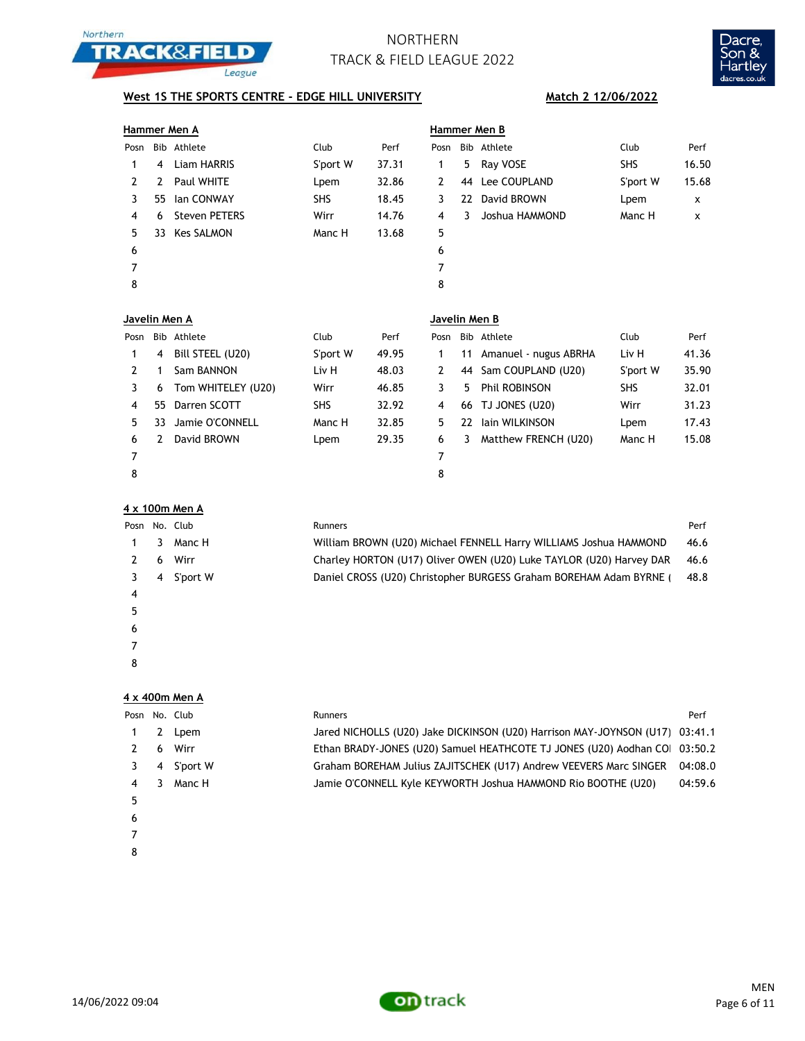



### **West 1S THE SPORTS CENTRE - EDGE HILL UNIVERSITY MATCH AND MATCH 2 12/06/2022**

# **Hammer Men A Hammer Men B** Posn Bib Athlete Club Perf Posn Bib Athlete Club Perf 1 4 Liam HARRIS S'port W 37.31 1 5 Ray VOSE SHS 16.50 2 2 Paul WHITE Lpem 32.86 2 44 Lee COUPLAND S'port W 15.68 3 55 Ian CONWAY 5HS 18.45 3 22 David BROWN Lpem x 4 6 Steven PETERS Wirr 14.76 4 3 Joshua HAMMOND Manc H x 5 33 Kes SALMON Manc H 13.68 5  $6$ 7 7 8 8 **Javelin Men A Javelin Men B** Posn Bib Athlete Club Perf Posn Bib Athlete Club Perf 1 4 Bill STEEL (U20) S'port W 49.95 1 11 Amanuel - nugus ABRHA Liv H 41.36

|   | 4   | Bill STEEL (U20)   | S'port W   | 49.95 |   |    | 11 Amanuel - nugus ABRHA | Liv H      | 41.36 |
|---|-----|--------------------|------------|-------|---|----|--------------------------|------------|-------|
|   |     | Sam BANNON         | Liv H      | 48.03 | 2 |    | 44 Sam COUPLAND (U20)    | S'port W   | 35.90 |
|   | 6   | Tom WHITELEY (U20) | Wirr       | 46.85 |   |    | 5 Phil ROBINSON          | <b>SHS</b> | 32.01 |
|   |     | 55 Darren SCOTT    | <b>SHS</b> | 32.92 | 4 |    | 66 TJ JONES (U20)        | Wirr       | 31.23 |
|   | 33. | Jamie O'CONNELL    | Manc H     | 32.85 |   | 22 | lain WILKINSON           | Lpem       | 17.43 |
| 6 |     | David BROWN        | Lpem       | 29.35 | 6 | 3  | Matthew FRENCH (U20)     | Manc H     | 15.08 |
|   |     |                    |            |       |   |    |                          |            |       |
| 8 |     |                    |            |       | 8 |    |                          |            |       |

### **4 x 100m Men A**

 $\epsilon$ 

## Posn No. Club **Runners** Runners **Performance Runners** Performance Performance Performance Performance Performance Performance Performance Performance Performance Performance Performance Performance Performance Performance 1 3 Manc H William BROWN (U20) Michael FENNELL Harry WILLIAMS Joshua HAMMOND 46.6 2 6 Wirr Charley HORTON (U17) Oliver OWEN (U20) Luke TAYLOR (U20) Harvey DAR 46.6 3 4 S'port W Daniel CROSS (U20) Christopher BURGESS Graham BOREHAM Adam BYRNE (48.8 4  $5<sub>5</sub>$

7 8

**4 x 400m Men A**

|   |   | Posn No. Club | Runners                                                                      | Perf    |
|---|---|---------------|------------------------------------------------------------------------------|---------|
|   |   | Lpem          | Jared NICHOLLS (U20) Jake DICKINSON (U20) Harrison MAY-JOYNSON (U17) 03:41.1 |         |
|   | 6 | Wirr          | Ethan BRADY-JONES (U20) Samuel HEATHCOTE TJ JONES (U20) Aodhan CO 03:50.2    |         |
|   | 4 | S'port W      | Graham BOREHAM Julius ZAJITSCHEK (U17) Andrew VEEVERS Marc SINGER            | 04:08.0 |
|   |   | Manc H        | Jamie O'CONNELL Kyle KEYWORTH Joshua HAMMOND Rio BOOTHE (U20)                | 04:59.6 |
|   |   |               |                                                                              |         |
| 6 |   |               |                                                                              |         |
|   |   |               |                                                                              |         |

- 
- 8

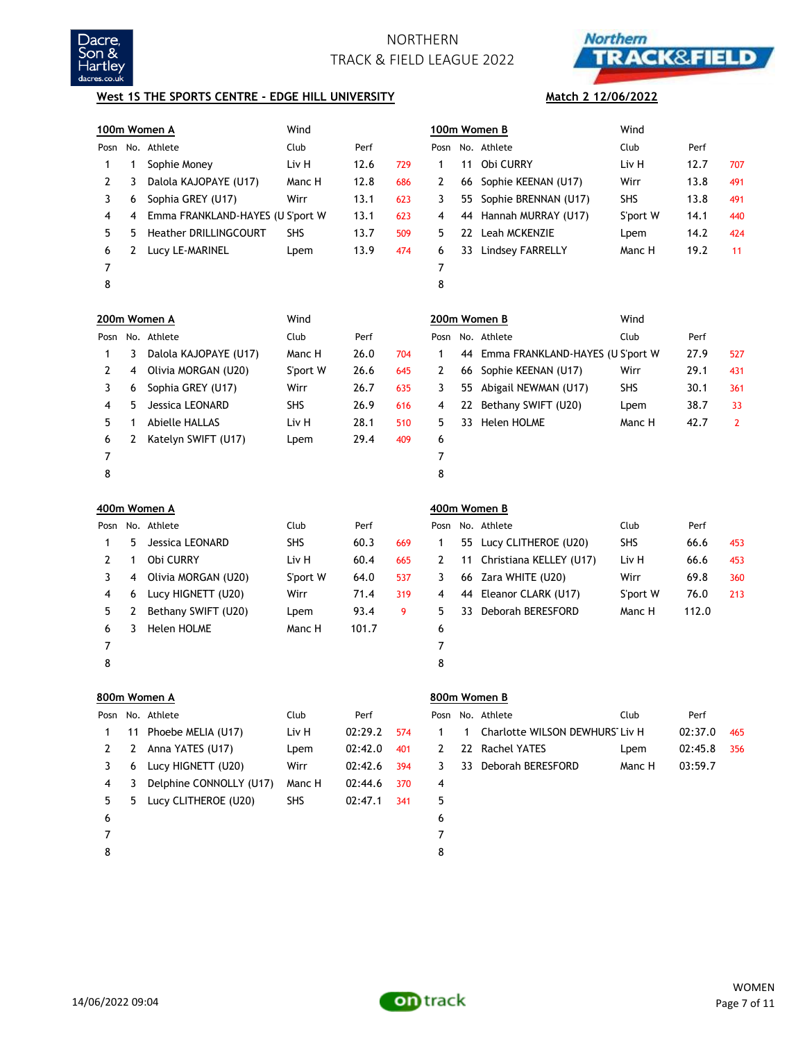



**Match 2 12/06/2022**

### **West 1S THE SPORTS CENTRE - EDGE HILL UNIVERSITY**

|      |    | 100m Women A                     | Wind       |         |     |      |    | 100m Women B                     | Wind       |         |              |
|------|----|----------------------------------|------------|---------|-----|------|----|----------------------------------|------------|---------|--------------|
| Posn |    | No. Athlete                      | Club       | Perf    |     | Posn |    | No. Athlete                      | Club       | Perf    |              |
| 1    | 1  | Sophie Money                     | Liv H      | 12.6    | 729 | 1    | 11 | Obi CURRY                        | Liv H      | 12.7    | 707          |
| 2    | 3  | Dalola KAJOPAYE (U17)            | Manc H     | 12.8    | 686 | 2    | 66 | Sophie KEENAN (U17)              | Wirr       | 13.8    | 491          |
| 3    | 6  | Sophia GREY (U17)                | Wirr       | 13.1    | 623 | 3    | 55 | Sophie BRENNAN (U17)             | SHS        | 13.8    | 491          |
| 4    | 4  | Emma FRANKLAND-HAYES (U S'port W |            | 13.1    | 623 | 4    | 44 | Hannah MURRAY (U17)              | S'port W   | 14.1    | 440          |
| 5    | 5  | Heather DRILLINGCOURT            | <b>SHS</b> | 13.7    | 509 | 5    |    | 22 Leah MCKENZIE                 | Lpem       | 14.2    | 424          |
| 6    | 2  | Lucy LE-MARINEL                  | Lpem       | 13.9    | 474 | 6    | 33 | Lindsey FARRELLY                 | Manc H     | 19.2    | 11           |
| 7    |    |                                  |            |         |     | 7    |    |                                  |            |         |              |
| 8    |    |                                  |            |         |     | 8    |    |                                  |            |         |              |
|      |    | 200m Women A                     | Wind       |         |     |      |    | 200m Women B                     | Wind       |         |              |
| Posn |    | No. Athlete                      | Club       | Perf    |     | Posn |    | No. Athlete                      | Club       | Perf    |              |
| 1    | 3  | Dalola KAJOPAYE (U17)            | Manc H     | 26.0    | 704 | 1    | 44 | Emma FRANKLAND-HAYES (U S'port W |            | 27.9    | 527          |
| 2    | 4  | Olivia MORGAN (U20)              | S'port W   | 26.6    | 645 | 2    | 66 | Sophie KEENAN (U17)              | Wirr       | 29.1    | 431          |
| 3    | 6  | Sophia GREY (U17)                | Wirr       | 26.7    | 635 | 3    | 55 | Abigail NEWMAN (U17)             | <b>SHS</b> | 30.1    | 361          |
| 4    | 5  | Jessica LEONARD                  | <b>SHS</b> | 26.9    | 616 | 4    | 22 | Bethany SWIFT (U20)              | Lpem       | 38.7    | 33           |
| 5    | 1  | <b>Abielle HALLAS</b>            | Liv H      | 28.1    | 510 | 5    | 33 | Helen HOLME                      | Manc H     | 42.7    | $\mathbf{2}$ |
| 6    | 2  | Katelyn SWIFT (U17)              | Lpem       | 29.4    | 409 | 6    |    |                                  |            |         |              |
| 7    |    |                                  |            |         |     | 7    |    |                                  |            |         |              |
| 8    |    |                                  |            |         |     | 8    |    |                                  |            |         |              |
|      |    |                                  |            |         |     |      |    |                                  |            |         |              |
|      |    | 400m Women A                     |            |         |     |      |    | 400m Women B                     |            |         |              |
| Posn |    | No. Athlete                      | Club       | Perf    |     | Posn |    | No. Athlete                      | Club       | Perf    |              |
| 1    | 5  | Jessica LEONARD                  | SHS        | 60.3    | 669 | 1    | 55 | Lucy CLITHEROE (U20)             | SHS        | 66.6    | 453          |
| 2    | 1  | Obi CURRY                        | Liv H      | 60.4    | 665 | 2    | 11 | Christiana KELLEY (U17)          | Liv H      | 66.6    | 453          |
| 3    | 4  | Olivia MORGAN (U20)              | S'port W   | 64.0    | 537 | 3    | 66 | Zara WHITE (U20)                 | Wirr       | 69.8    | 360          |
| 4    | 6  | Lucy HIGNETT (U20)               | Wirr       | 71.4    | 319 | 4    | 44 | Eleanor CLARK (U17)              | S'port W   | 76.0    | 213          |
| 5    | 2  | Bethany SWIFT (U20)              | Lpem       | 93.4    | 9   | 5    | 33 | Deborah BERESFORD                | Manc H     | 112.0   |              |
| 6    | 3  | Helen HOLME                      | Manc H     | 101.7   |     | 6    |    |                                  |            |         |              |
| 7    |    |                                  |            |         |     | 7    |    |                                  |            |         |              |
| 8    |    |                                  |            |         |     | 8    |    |                                  |            |         |              |
|      |    | 800m Women A                     |            |         |     |      |    | 800m Women B                     |            |         |              |
| Posn |    | No. Athlete                      | Club       | Perf    |     | Posn |    | No. Athlete                      | Club       | Perf    |              |
| 1    | 11 | Phoebe MELIA (U17)               | Liv H      | 02:29.2 | 574 | 1    | 1  | Charlotte WILSON DEWHURS Liv H   |            | 02:37.0 | 465          |
| 2    | 2  | Anna YATES (U17)                 | Lpem       | 02:42.0 | 401 | 2    | 22 | <b>Rachel YATES</b>              | Lpem       | 02:45.8 | 356          |
| 3    | 6  | Lucy HIGNETT (U20)               | Wirr       | 02:42.6 | 394 | 3    | 33 | Deborah BERESFORD                | Manc H     | 03:59.7 |              |
| 4    | 3  | Delphine CONNOLLY (U17)          | Manc H     | 02:44.6 | 370 | 4    |    |                                  |            |         |              |
| 5    | 5  | Lucy CLITHEROE (U20)             | SHS        | 02:47.1 | 341 | 5    |    |                                  |            |         |              |
| 6    |    |                                  |            |         |     | 6    |    |                                  |            |         |              |
| 7    |    |                                  |            |         |     | 7    |    |                                  |            |         |              |

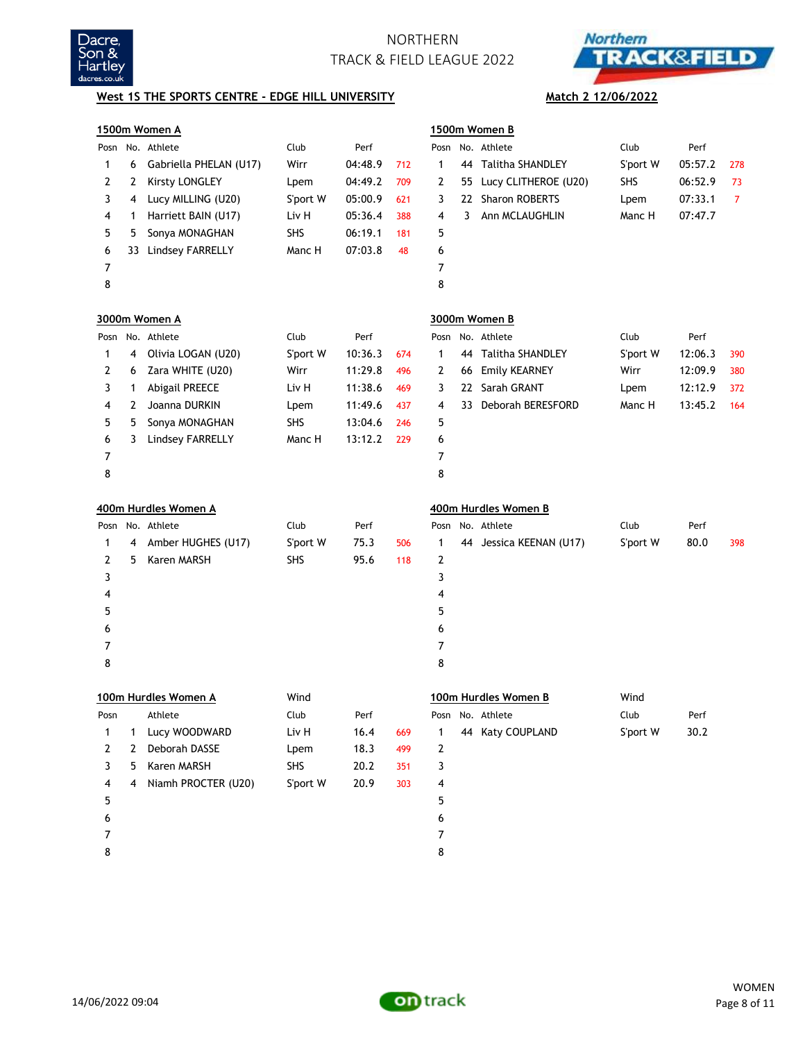



## **West 1S THE SPORTS CENTRE - EDGE HILL UNIVERSITY Match 2 12/06/2022**

|      | 1500m Women A               |                        |            |         |     |                | 1500m Women B |                         |          |         |     |  |
|------|-----------------------------|------------------------|------------|---------|-----|----------------|---------------|-------------------------|----------|---------|-----|--|
| Posn | No. Athlete<br>Club<br>Perf |                        |            |         |     |                |               | No. Athlete             | Club     | Perf    |     |  |
| 1    | 6                           | Gabriella PHELAN (U17) | Wirr       | 04:48.9 | 712 | $\mathbf{1}$   |               | 44 Talitha SHANDLEY     | S'port W | 05:57.2 | 278 |  |
| 2    | 2                           | Kirsty LONGLEY         | Lpem       | 04:49.2 | 709 | 2              | 55            | Lucy CLITHEROE (U20)    | SHS      | 06:52.9 | 73  |  |
| 3    | 4                           | Lucy MILLING (U20)     | S'port W   | 05:00.9 | 621 | 3              |               | 22 Sharon ROBERTS       | Lpem     | 07:33.1 | 7   |  |
| 4    | 1                           | Harriett BAIN (U17)    | Liv H      | 05:36.4 | 388 | 4              | 3             | Ann MCLAUGHLIN          | Manc H   | 07:47.7 |     |  |
| 5    | 5                           | Sonya MONAGHAN         | <b>SHS</b> | 06:19.1 | 181 | 5              |               |                         |          |         |     |  |
| 6    | 33                          | Lindsey FARRELLY       | Manc H     | 07:03.8 | 48  | 6              |               |                         |          |         |     |  |
| 7    |                             |                        |            |         |     | $\overline{7}$ |               |                         |          |         |     |  |
| 8    |                             |                        |            |         |     | 8              |               |                         |          |         |     |  |
|      |                             | 3000m Women A          |            |         |     |                |               | 3000m Women B           |          |         |     |  |
| Posn |                             | No. Athlete            | Club       | Perf    |     | Posn           |               | No. Athlete             | Club     | Perf    |     |  |
| 1    | 4                           | Olivia LOGAN (U20)     | S'port W   | 10:36.3 | 674 | $\mathbf{1}$   |               | 44 Talitha SHANDLEY     | S'port W | 12:06.3 | 390 |  |
| 2    | 6                           | Zara WHITE (U20)       | Wirr       | 11:29.8 | 496 | 2              | 66            | <b>Emily KEARNEY</b>    | Wirr     | 12:09.9 | 380 |  |
| 3    | 1                           | <b>Abigail PREECE</b>  | Liv H      | 11:38.6 | 469 | 3              |               | 22 Sarah GRANT          | Lpem     | 12:12.9 | 372 |  |
| 4    | 2                           | Joanna DURKIN          | Lpem       | 11:49.6 | 437 | 4              |               | 33 Deborah BERESFORD    | Manc H   | 13:45.2 | 164 |  |
| 5    | 5                           | Sonya MONAGHAN         | <b>SHS</b> | 13:04.6 | 246 | 5              |               |                         |          |         |     |  |
| 6    | 3                           | Lindsey FARRELLY       | Manc H     | 13:12.2 | 229 | 6              |               |                         |          |         |     |  |
| 7    |                             |                        |            |         |     | $\overline{7}$ |               |                         |          |         |     |  |
| 8    |                             |                        |            |         |     | 8              |               |                         |          |         |     |  |
|      |                             | 400m Hurdles Women A   |            |         |     |                |               | 400m Hurdles Women B    |          |         |     |  |
| Posn |                             | No. Athlete            | Club       | Perf    |     | Posn           |               | No. Athlete             | Club     | Perf    |     |  |
| 1    | 4                           | Amber HUGHES (U17)     | S'port W   | 75.3    | 506 | 1              |               | 44 Jessica KEENAN (U17) | S'port W | 80.0    | 398 |  |
| 2    | 5                           | Karen MARSH            | <b>SHS</b> | 95.6    | 118 | 2              |               |                         |          |         |     |  |
| 3    |                             |                        |            |         |     | 3              |               |                         |          |         |     |  |
| 4    |                             |                        |            |         |     | 4              |               |                         |          |         |     |  |
| 5    |                             |                        |            |         |     | 5              |               |                         |          |         |     |  |
| 6    |                             |                        |            |         |     | 6              |               |                         |          |         |     |  |
| 7    |                             |                        |            |         |     | 7              |               |                         |          |         |     |  |
| 8    |                             |                        |            |         |     | 8              |               |                         |          |         |     |  |
|      |                             | 100m Hurdles Women A   | Wind       |         |     |                |               | 100m Hurdles Women B    | Wind     |         |     |  |
| Posn |                             | Athlete                | Club       | Perf    |     | Posn           |               | No. Athlete             | Club     | Perf    |     |  |
| 1    | 1                           | Lucy WOODWARD          | Liv H      | 16.4    | 669 | 1              |               | 44 Katy COUPLAND        | S'port W | 30.2    |     |  |
| 2    | 2                           | Deborah DASSE          | Lpem       | 18.3    | 499 | 2              |               |                         |          |         |     |  |
| 3    | 5                           | Karen MARSH            | <b>SHS</b> | 20.2    | 351 | 3              |               |                         |          |         |     |  |
| 4    | 4                           | Niamh PROCTER (U20)    | S'port W   | 20.9    | 303 | 4              |               |                         |          |         |     |  |
| 5    |                             |                        |            |         |     | 5              |               |                         |          |         |     |  |
| 6    |                             |                        |            |         |     | 6              |               |                         |          |         |     |  |
| 7    |                             |                        |            |         |     | 7              |               |                         |          |         |     |  |
| 8    |                             |                        |            |         |     | 8              |               |                         |          |         |     |  |

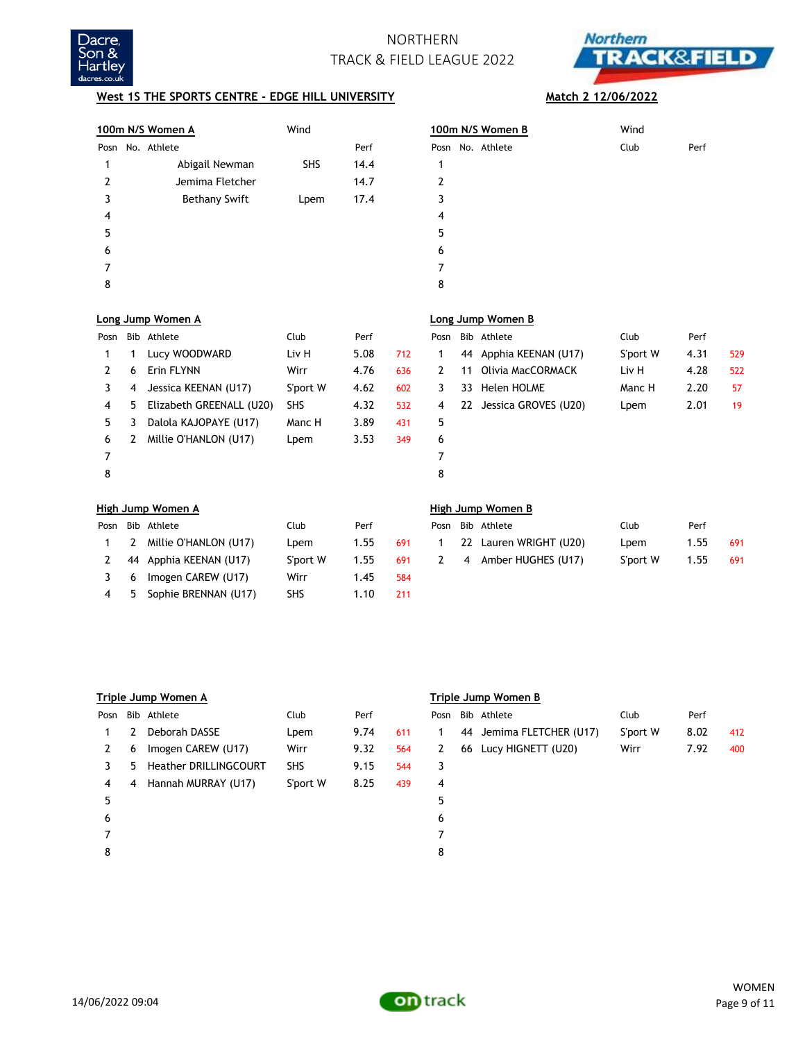



### **West 1S THE SPORTS CENTRE - EDGE HILL UNIVERSITY** Match 2 12/06/2022

|      | 100m N/S Women A | Wind       |      | 100m N/S Women B    | Wind         |
|------|------------------|------------|------|---------------------|--------------|
| Posn | No. Athlete      |            | Perf | No. Athlete<br>Posn | Perf<br>Club |
|      | Abigail Newman   | <b>SHS</b> | 14.4 |                     |              |
| 2    | Jemima Fletcher  |            | 14.7 | 2                   |              |
| 3    | Bethany Swift    | Lpem       | 17.4 | 3                   |              |
| 4    |                  |            |      | 4                   |              |
| 5    |                  |            |      | 5                   |              |
| 6    |                  |            |      | 6                   |              |
|      |                  |            |      |                     |              |
| 8    |                  |            |      | 8                   |              |
|      |                  |            |      |                     |              |

|                | <u>00m N/S Women B</u> | Wind |      |
|----------------|------------------------|------|------|
|                | osn No. Athlete        | Club | Perf |
| $\mathbf{1}$   |                        |      |      |
| $\overline{2}$ |                        |      |      |
| 3              |                        |      |      |
| 4              |                        |      |      |
| 5              |                        |      |      |
| 6              |                        |      |      |
| 7              |                        |      |      |
| 8              |                        |      |      |

| Posn |    | Bib Athlete              | Club       | Perf |     |   |    | Posn Bib Athlete        | Club     | Perf |     |
|------|----|--------------------------|------------|------|-----|---|----|-------------------------|----------|------|-----|
|      |    | Lucy WOODWARD            | Liv H      | 5.08 | 712 |   | 44 | Apphia KEENAN (U17)     | S'port W | 4.31 | 529 |
|      | 6  | Erin FLYNN               | Wirr       | 4.76 | 636 |   | 11 | Olivia MacCORMACK       | Liv H    | 4.28 | 522 |
|      | 4  | Jessica KEENAN (U17)     | S'port W   | 4.62 | 602 | 3 | 33 | Helen HOLME             | Manc H   | 2.20 | 57  |
| 4    | 5. | Elizabeth GREENALL (U20) | <b>SHS</b> | 4.32 | 532 | 4 |    | 22 Jessica GROVES (U20) | Lpem     | 2.01 | 19  |
| 5.   |    | Dalola KAJOPAYE (U17)    | Manc H     | 3.89 | 431 | 5 |    |                         |          |      |     |
| 6    |    | Millie O'HANLON (U17)    | Lpem       | 3.53 | 349 | 6 |    |                         |          |      |     |
|      |    |                          |            |      |     |   |    |                         |          |      |     |
| 8    |    |                          |            |      |     | 8 |    |                         |          |      |     |

3 6 Imogen CAREW (U17) Wirr 1.45 584 4 5 Sophie BRENNAN (U17) SHS 1.10 211

### **Long Jump Women A Long Jump Women B**

| osn | Bib Athlete             | Club     | Perf |     |
|-----|-------------------------|----------|------|-----|
| 1.  | 44 Apphia KEENAN (U17)  | S'port W | 4.31 | 529 |
| 2   | 11 Olivia MacCORMACK    | Liv H    | 4.28 | 522 |
| 3   | 33 Helen HOLME          | Manc H   | 2.20 | 57  |
| 4   | 22 Jessica GROVES (U20) | Lpem     | 2.01 | 19  |
| 5   |                         |          |      |     |
| 6   |                         |          |      |     |
| 7   |                         |          |      |     |
| 8   |                         |          |      |     |

## **High Jump Women A High Jump Women B** Posn Bib Athlete **Club** Perf Posn Bib Athlete 1 2 Millie O'HANLON (U17) Lpem 1.55 691 2 44 Apphia KEENAN (U17) S'port W 1.55 691

|  | osn Bib Athlete        | Club     | Perf |     |
|--|------------------------|----------|------|-----|
|  | 22 Lauren WRIGHT (U20) | Lpem     | 1.55 | 691 |
|  | 4 Amber HUGHES (U17)   | S'port W | 1.55 | 691 |
|  |                        |          |      |     |

|      |   | Triple Jump Women A          |            |      |     | Triple Jump Women B |  |                          |          |      |     |
|------|---|------------------------------|------------|------|-----|---------------------|--|--------------------------|----------|------|-----|
| Posn |   | Bib Athlete                  | Club       | Perf |     | Posn                |  | Bib Athlete              | Club     | Perf |     |
|      | 2 | Deborah DASSE                | Lpem       | 9.74 | 611 |                     |  | 44 Jemima FLETCHER (U17) | S'port W | 8.02 | 412 |
| 2    | 6 | Imogen CAREW (U17)           | Wirr       | 9.32 | 564 | 2                   |  | 66 Lucy HIGNETT (U20)    | Wirr     | 7.92 | 400 |
| 3    | 5 | <b>Heather DRILLINGCOURT</b> | <b>SHS</b> | 9.15 | 544 | 3                   |  |                          |          |      |     |
| 4    | 4 | Hannah MURRAY (U17)          | S'port W   | 8.25 | 439 | 4                   |  |                          |          |      |     |
| 5    |   |                              |            |      |     | 5                   |  |                          |          |      |     |
| 6    |   |                              |            |      |     | 6                   |  |                          |          |      |     |
|      |   |                              |            |      |     |                     |  |                          |          |      |     |
| 8    |   |                              |            |      |     | 8                   |  |                          |          |      |     |

### **Triple Jump Women A Triple Jump Women B**

| osn? | Bib Athlete              | Club     | Perf |     |
|------|--------------------------|----------|------|-----|
| 1    | 44 Jemima FLETCHER (U17) | S'port W | 8.02 | 412 |
| 2    | 66 Lucy HIGNETT (U20)    | Wirr     | 7.92 | 400 |
| 3    |                          |          |      |     |
| 4    |                          |          |      |     |
| 5    |                          |          |      |     |
| 6    |                          |          |      |     |
|      |                          |          |      |     |
|      |                          |          |      |     |



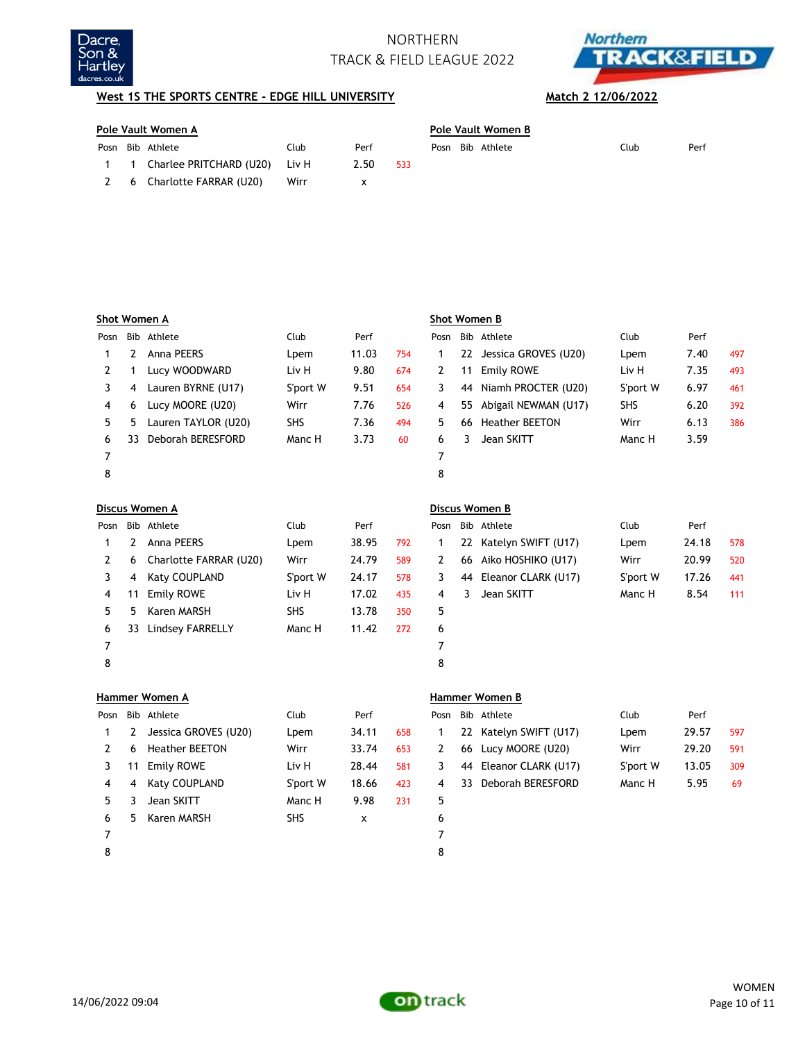



## **West 1S THE SPORTS CENTRE - EDGE HILL UNIVERSITY Match 2 12/06/2022**

| Pole Vault Women A |                             |       |      |     |  | Pole Vault Women B |                  |      |      |  |  |
|--------------------|-----------------------------|-------|------|-----|--|--------------------|------------------|------|------|--|--|
|                    | Posn Bib Athlete            | Club  | Perf |     |  |                    | Posn Bib Athlete | Club | Perf |  |  |
|                    | 1 1 Charlee PRITCHARD (U20) | Liv H | 2.50 | 533 |  |                    |                  |      |      |  |  |
| - 6                | Charlotte FARRAR (U20)      | Wirr  |      |     |  |                    |                  |      |      |  |  |

|      |    | Shot Women A        |          |       |     | Shot Women B |    |                       |            |      |     |
|------|----|---------------------|----------|-------|-----|--------------|----|-----------------------|------------|------|-----|
| Posn |    | Bib Athlete         | Club     | Perf  |     | Posn         |    | Bib Athlete           | Club       | Perf |     |
|      | 2  | Anna PEERS          | Lpem     | 11.03 | 754 |              | 22 | Jessica GROVES (U20)  | Lpem       | 7.40 | 497 |
|      |    | Lucy WOODWARD       | Liv H    | 9.80  | 674 |              | 11 | Emily ROWE            | Liv H      | 7.35 | 493 |
|      | 4  | Lauren BYRNE (U17)  | S'port W | 9.51  | 654 | 3            | 44 | Niamh PROCTER (U20)   | S'port W   | 6.97 | 461 |
| 4    | 6  | Lucy MOORE (U20)    | Wirr     | 7.76  | 526 | 4            | 55 | Abigail NEWMAN (U17)  | <b>SHS</b> | 6.20 | 392 |
| 5.   | 5  | Lauren TAYLOR (U20) | SHS      | 7.36  | 494 | 5            | 66 | <b>Heather BEETON</b> | Wirr       | 6.13 | 386 |
| 6    | 33 | Deborah BERESFORD   | Manc H   | 3.73  | 60  | 6            | 3  | Jean SKITT            | Manc H     | 3.59 |     |
|      |    |                     |          |       |     |              |    |                       |            |      |     |
| 8    |    |                     |          |       |     | 8            |    |                       |            |      |     |

|      |    | Discus Women A         |             |       |     | Discus Women B |    |                        |          |       |     |  |
|------|----|------------------------|-------------|-------|-----|----------------|----|------------------------|----------|-------|-----|--|
| Posn |    | Bib Athlete            | <b>Club</b> | Perf  |     | Posn           |    | Bib Athlete            | Club     | Perf  |     |  |
|      |    | Anna PEERS             | Lpem        | 38.95 | 792 |                | 22 | Katelyn SWIFT (U17)    | Lpem     | 24.18 | 578 |  |
|      | 6  | Charlotte FARRAR (U20) | Wirr        | 24.79 | 589 | 2              | 66 | Aiko HOSHIKO (U17)     | Wirr     | 20.99 | 520 |  |
|      | 4  | Katy COUPLAND          | S'port W    | 24.17 | 578 | 3              |    | 44 Eleanor CLARK (U17) | S'port W | 17.26 | 441 |  |
| 4    | 11 | Emily ROWE             | Liv H       | 17.02 | 435 | 4              |    | Jean SKITT             | Manc H   | 8.54  | 111 |  |
| 5.   | 5  | Karen MARSH            | <b>SHS</b>  | 13.78 | 350 | 5              |    |                        |          |       |     |  |
| 6    | 33 | Lindsey FARRELLY       | Manc H      | 11.42 | 272 | 6              |    |                        |          |       |     |  |
|      |    |                        |             |       |     |                |    |                        |          |       |     |  |
|      |    |                        |             |       |     |                |    |                        |          |       |     |  |

|     |    | iscus Women A            |            |       |     | Discus Women B |    |                        |          |       |     |
|-----|----|--------------------------|------------|-------|-----|----------------|----|------------------------|----------|-------|-----|
| osn |    | Bib Athlete              | Club       | Perf  |     | Posn           |    | Bib Athlete            | Club     | Perf  |     |
| 1.  |    | Anna PEERS               | Lpem       | 38.95 | 792 |                | 22 | Katelyn SWIFT (U17)    | Lpem     | 24.18 | 578 |
| 2   |    | 6 Charlotte FARRAR (U20) | Wirr       | 24.79 | 589 | 2              |    | 66 Aiko HOSHIKO (U17)  | Wirr     | 20.99 | 520 |
| 3   | 4  | Katy COUPLAND            | S'port W   | 24.17 | 578 | 3              |    | 44 Eleanor CLARK (U17) | S'port W | 17.26 | 441 |
| 4   | 11 | Emily ROWE               | Liv H      | 17.02 | 435 | $\overline{4}$ | 3. | Jean SKITT             | Manc H   | 8.54  | 111 |
| 5   | 5. | Karen MARSH              | <b>SHS</b> | 13.78 | 350 | 5              |    |                        |          |       |     |
| 6.  | 33 | Lindsey FARRELLY         | Manc H     | 11.42 | 272 | 6              |    |                        |          |       |     |
|     |    |                          |            |       |     |                |    |                        |          |       |     |
| 8   |    |                          |            |       |     | 8              |    |                        |          |       |     |

|      |    | Hammer Women A        |            |       | Hammer Women B |      |     |                        |          |       |     |
|------|----|-----------------------|------------|-------|----------------|------|-----|------------------------|----------|-------|-----|
| Posn |    | Bib Athlete           | Club       | Perf  |                | Posn |     | Bib Athlete            | Club     | Perf  |     |
|      |    | Jessica GROVES (U20)  | Lpem       | 34.11 | 658            |      |     | 22 Katelyn SWIFT (U17) | Lpem     | 29.57 | 597 |
|      | 6  | <b>Heather BEETON</b> | Wirr       | 33.74 | 653            | 2    |     | 66 Lucy MOORE (U20)    | Wirr     | 29.20 | 591 |
|      | 11 | Emily ROWE            | Liv H      | 28.44 | 581            | 3    |     | 44 Eleanor CLARK (U17) | S'port W | 13.05 | 309 |
| 4    | 4  | Katy COUPLAND         | S'port W   | 18.66 | 423            | 4    | 33. | Deborah BERESFORD      | Manc H   | 5.95  | 69  |
| 5.   |    | Jean SKITT            | Manc H     | 9.98  | 231            | 5    |     |                        |          |       |     |
| 6    | 5. | Karen MARSH           | <b>SHS</b> | x     |                | 6    |     |                        |          |       |     |
|      |    |                       |            |       |                |      |     |                        |          |       |     |
| 8    |    |                       |            |       |                | 8    |     |                        |          |       |     |

### **Hammer Women A Hammer Women B**

| osn | Bib Athlete              | Club     | Perf  |     |
|-----|--------------------------|----------|-------|-----|
|     | 1 22 Katelyn SWIFT (U17) | Lpem     | 29.57 | 597 |
|     | 2 66 Lucy MOORE (U20)    | Wirr     | 29.20 | 591 |
| 3   | 44 Eleanor CLARK (U17)   | S'port W | 13.05 | 309 |
| 4   | 33 Deborah BERESFORD     | Manc H   | 5.95  | 69  |
|     |                          |          |       |     |